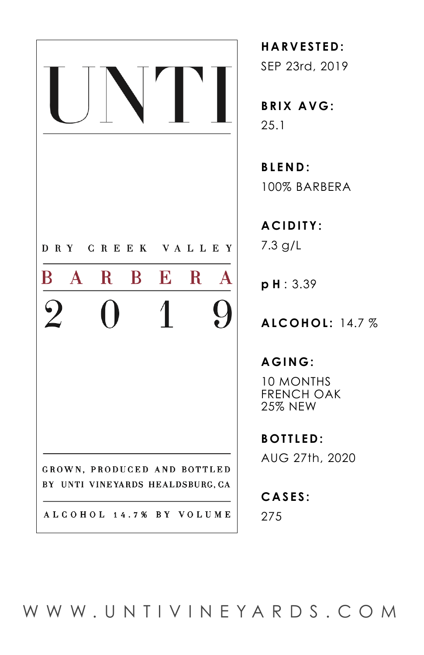

**HARVESTED:**  SEP 23rd, 2019

**BRIX AVG:** 25.1

**BLEND:** 100% BARBERA

**ACIDITY:** 7.3 g/L

**p H** : 3.39

**ALCOHOL:** 14.7 %

**AGING:**

10 MONTHS FRENCH OAK 25% NEW

**BOTTLED:**  AUG 27th, 2020

**CASES:**  275

[WWW.UNTIVINEYARDS.COM](http://www.UNTIVINEYARDS.com)